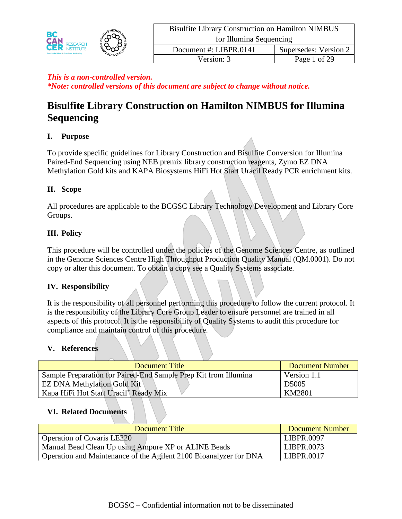

Version: 3 Page 1 of 29

# *This is a non-controlled version. \*Note: controlled versions of this document are subject to change without notice.*

# **Bisulfite Library Construction on Hamilton NIMBUS for Illumina Sequencing**

# **I. Purpose**

To provide specific guidelines for Library Construction and Bisulfite Conversion for Illumina Paired-End Sequencing using NEB premix library construction reagents, Zymo EZ DNA Methylation Gold kits and KAPA Biosystems HiFi Hot Start Uracil Ready PCR enrichment kits.

## **II. Scope**

All procedures are applicable to the BCGSC Library Technology Development and Library Core Groups.

## **III. Policy**

This procedure will be controlled under the policies of the Genome Sciences Centre, as outlined in the Genome Sciences Centre High Throughput Production Quality Manual (QM.0001). Do not copy or alter this document. To obtain a copy see a Quality Systems associate.

## **IV. Responsibility**

It is the responsibility of all personnel performing this procedure to follow the current protocol. It is the responsibility of the Library Core Group Leader to ensure personnel are trained in all aspects of this protocol. It is the responsibility of Quality Systems to audit this procedure for compliance and maintain control of this procedure.

## **V. References**

| Document Title                                                  | <b>Document Number</b> |
|-----------------------------------------------------------------|------------------------|
| Sample Preparation for Paired-End Sample Prep Kit from Illumina | Version 1.1            |
| <b>EZ DNA Methylation Gold Kit</b>                              | D <sub>5005</sub>      |
| Kapa HiFi Hot Start Uracil <sup>+</sup> Ready Mix               | KM2801                 |

#### **VI. Related Documents**

| Document Title                                                    | <b>Document Number</b> |
|-------------------------------------------------------------------|------------------------|
| <b>Operation of Covaris LE220</b>                                 | LIBPR.0097             |
| Manual Bead Clean Up using Ampure XP or ALINE Beads               | LIBPR.0073             |
| Operation and Maintenance of the Agilent 2100 Bioanalyzer for DNA | LIBPR.0017             |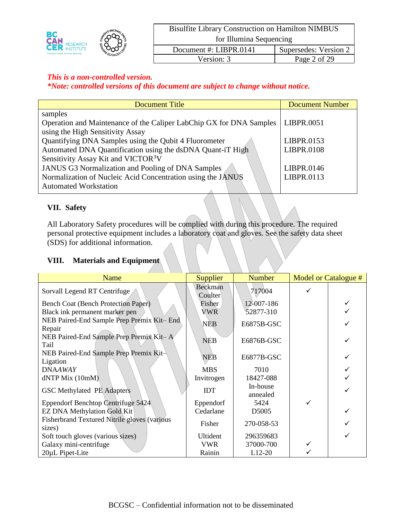|                                             |            | <b>Bisulfite Library Construction on Hamilton NIMBUS</b> |                       |  |
|---------------------------------------------|------------|----------------------------------------------------------|-----------------------|--|
| BC<br><b>CAN RESEARCH</b>                   |            | for Illumina Sequencing                                  |                       |  |
| <b>Provincial Health Services Authority</b> | MESCIENCES | Document #: LIBPR.0141                                   | Supersedes: Version 2 |  |
|                                             |            | Version: 3                                               | Page 2 of 29          |  |

## *This is a non-controlled version.*

*\*Note: controlled versions of this document are subject to change without notice.*

| <b>Document Title</b>                                               | <b>Document Number</b> |
|---------------------------------------------------------------------|------------------------|
| samples                                                             |                        |
| Operation and Maintenance of the Caliper LabChip GX for DNA Samples | LIBPR.0051             |
| using the High Sensitivity Assay                                    |                        |
| Quantifying DNA Samples using the Qubit 4 Fluorometer               | LIBPR.0153             |
| Automated DNA Quantification using the dsDNA Quant-iT High          | <b>LIBPR.0108</b>      |
| Sensitivity Assay Kit and VICTOR <sup>3</sup> V                     |                        |
| <b>JANUS G3 Normalization and Pooling of DNA Samples</b>            | LIBPR.0146             |
| Normalization of Nucleic Acid Concentration using the JANUS         | LIBPR.0113             |
| <b>Automated Workstation</b>                                        |                        |

# **VII. Safety**

All Laboratory Safety procedures will be complied with during this procedure. The required personal protective equipment includes a laboratory coat and gloves. See the safety data sheet (SDS) for additional information.

## **VIII. Materials and Equipment**

| Name                                                          | <b>Supplier</b>    | <b>Number</b>        | Model or Catalogue # |
|---------------------------------------------------------------|--------------------|----------------------|----------------------|
| Sorvall Legend RT Centrifuge                                  | Beckman<br>Coulter | 717004               |                      |
| Bench Coat (Bench Protection Paper)                           | Fisher             | 12-007-186           |                      |
| Black ink permanent marker pen                                | <b>VWR</b>         | 52877-310            |                      |
| NEB Paired-End Sample Prep Premix Kit-End<br>Repair           | <b>NEB</b>         | E6875B-GSC           |                      |
| NEB Paired-End Sample Prep Premix Kit-A<br>Tail               | <b>NEB</b>         | E6876B-GSC           |                      |
| NEB Paired-End Sample Prep Premix Kit-<br>Ligation            | NEB                | E6877B-GSC           |                      |
| <b>DNAAWAY</b>                                                | <b>MBS</b>         | 7010                 |                      |
| dNTP Mix (10mM)                                               | Invitrogen         | 18427-088            |                      |
| <b>GSC Methylated PE Adapters</b>                             | <b>IDT</b>         | In-house<br>annealed |                      |
| Eppendorf Benchtop Centrifuge 5424                            | Eppendorf          | 5424                 |                      |
| <b>EZ DNA Methylation Gold Kit</b>                            | Cedarlane          | D5005                |                      |
| <b>Fisherbrand Textured Nitrile gloves (various</b><br>sizes) | Fisher             | 270-058-53           |                      |
| Soft touch gloves (various sizes)                             | Ultident           | 296359683            |                      |
| Galaxy mini-centrifuge                                        | <b>VWR</b>         | 37000-700            |                      |
| 20µL Pipet-Lite                                               | Rainin             | $L12-20$             |                      |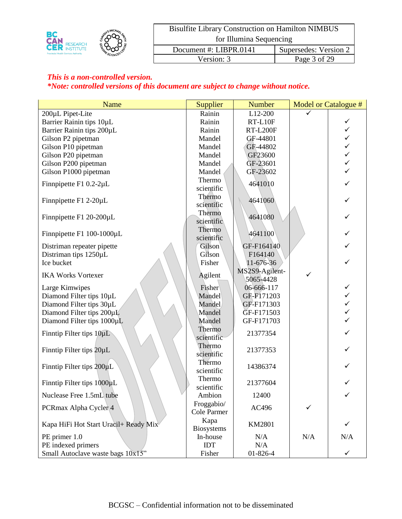|                                             |            | <b>Bisulfite Library Construction on Hamilton NIMBUS</b> |                       |  |
|---------------------------------------------|------------|----------------------------------------------------------|-----------------------|--|
| <b>CAN RESEARCH</b>                         |            | for Illumina Sequencing                                  |                       |  |
| <b>Provincial Health Services Authority</b> | MESCIENCES | Document #: LIBPR.0141                                   | Supersedes: Version 2 |  |
|                                             |            | Version: 3                                               | Page 3 of 29          |  |

| Name                                  | Supplier                  | <b>Number</b>   |              | <b>Model or Catalogue #</b> |
|---------------------------------------|---------------------------|-----------------|--------------|-----------------------------|
| 200µL Pipet-Lite                      | Rainin                    | L12-200         | ✓            |                             |
| Barrier Rainin tips 10µL              | Rainin                    | RT-L10F         |              | ✓                           |
| Barrier Rainin tips 200µL             | Rainin                    | <b>RT-L200F</b> |              | $\checkmark$                |
| Gilson P2 pipetman                    | Mandel                    | GF-44801        |              | $\checkmark$                |
| Gilson P10 pipetman                   | Mandel                    | GF-44802        |              | $\checkmark$                |
| Gilson P20 pipetman                   | Mandel                    | GF23600         |              | $\checkmark$                |
| Gilson P200 pipetman                  | Mandel                    | GF-23601        |              | $\checkmark$                |
| Gilson P1000 pipetman                 | Mandel                    | GF-23602        |              | $\checkmark$                |
| Finnpipette F1 0.2-2µL                | Thermo<br>scientific      | 4641010         |              |                             |
| Finnpipette F1 2-20µL                 | Thermo<br>scientific      | 4641060         |              |                             |
| Finnpipette F1 20-200µL               | Thermo<br>scientific      | 4641080         |              |                             |
| Finnpipette F1 100-1000µL             | Thermo<br>scientific      | 4641100         |              | ✓                           |
| Distriman repeater pipette            | Gilson                    | GF-F164140      |              | ✓                           |
| Distriman tips 1250µL                 | Gilson                    | F164140         |              |                             |
| Ice bucket                            | Fisher                    | 11-676-36       |              |                             |
|                                       |                           | MS2S9-Agilent-  | $\checkmark$ |                             |
| <b>IKA Works Vortexer</b>             | Agilent                   | 5065-4428       |              |                             |
| Large Kimwipes                        | Fisher                    | 06-666-117      |              | ✓                           |
| Diamond Filter tips 10µL              | Mandel                    | GF-F171203      |              | $\checkmark$                |
| Diamond Filter tips 30µL              | Mandel                    | GF-F171303      |              | $\checkmark$                |
| Diamond Filter tips 200µL             | Mandel                    | GF-F171503      |              | $\checkmark$                |
| Diamond Filter tips 1000µL            | Mandel                    | GF-F171703      |              |                             |
| Finntip Filter tips $10 \mu L$        | Thermo<br>scientific      | 21377354        |              |                             |
| Finntip Filter tips 20µL              | Thermo<br>scientific      | 21377353        |              |                             |
| Finntip Filter tips 200µL             | Thermo<br>scientific      | 14386374        |              |                             |
| Finntip Filter tips 1000µL            | Thermo<br>scientific      | 21377604        |              | ✓                           |
| Nuclease Free 1.5mL tube              | Ambion                    | 12400           |              | $\checkmark$                |
| PCRmax Alpha Cycler 4                 | Froggabio/<br>Cole Parmer | AC496           | ✓            |                             |
| Kapa HiFi Hot Start Uracil+ Ready Mix | Kapa<br><b>Biosystems</b> | KM2801          |              | $\checkmark$                |
| PE primer 1.0                         | In-house                  | N/A             | N/A          | N/A                         |
| PE indexed primers                    | <b>IDT</b>                | N/A             |              |                             |
| Small Autoclave waste bags 10x15"     | Fisher                    | 01-826-4        |              | ✓                           |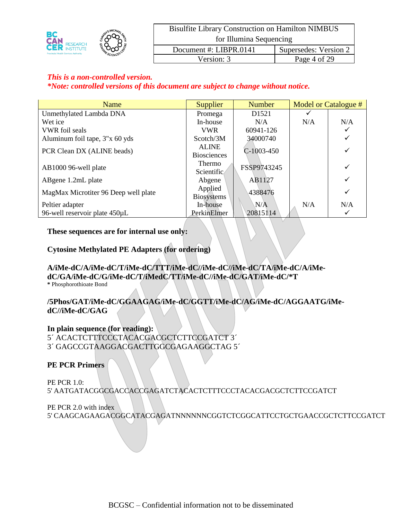|                                             |            | <b>Bisulfite Library Construction on Hamilton NIMBUS</b> |                       |  |
|---------------------------------------------|------------|----------------------------------------------------------|-----------------------|--|
| <b>CAN RESEARCH</b>                         |            | for Illumina Sequencing                                  |                       |  |
| <b>Provincial Health Services Authority</b> | MESCIENCES | Document #: LIBPR.0141                                   | Supersedes: Version 2 |  |
|                                             |            | Version: 3                                               | Page 4 of 29          |  |

### *This is a non-controlled version.*

*\*Note: controlled versions of this document are subject to change without notice.*

| Name                                 | <b>Supplier</b>                    | <b>Number</b> | Model or Catalogue # |     |
|--------------------------------------|------------------------------------|---------------|----------------------|-----|
| Unmethylated Lambda DNA              | Promega                            | D1521         |                      |     |
| Wet ice                              | In-house                           | N/A           | N/A                  | N/A |
| <b>VWR</b> foil seals                | <b>VWR</b>                         | 60941-126     |                      | ✓   |
| Aluminum foil tape, 3"x 60 yds       | Scotch/3M                          | 34000740      |                      | ✓   |
| PCR Clean DX (ALINE beads)           | <b>ALINE</b><br><b>Biosciences</b> | $C-1003-450$  |                      | ✓   |
| AB1000 96-well plate                 | Thermo<br>Scientific               | FSSP9743245   |                      | ✓   |
| ABgene 1.2mL plate                   | Abgene                             | AB1127        |                      | ✓   |
| MagMax Microtiter 96 Deep well plate | Applied<br><b>Biosystems</b>       | 4388476       |                      | ✓   |
| Peltier adapter                      | In-house                           | N/A           | N/A                  | N/A |
| 96-well reservoir plate 450µL        | PerkinElmer                        | 20815114      |                      | ✓   |

#### **These sequences are for internal use only:**

#### **Cytosine Methylated PE Adapters (for ordering)**

#### **A/iMe-dC/A/iMe-dC/T/iMe-dC/TTT/iMe-dC//iMe-dC//iMe-dC/TA/iMe-dC/A/iMedC/GA/iMe-dC/G/iMe-dC/T/iMedC/TT/iMe-dC//iMe-dC/GAT/iMe-dC/\*T \*** Phosphorothioate Bond

#### **/5Phos/GAT/iMe-dC/GGAAGAG/iMe-dC/GGTT/iMe-dC/AG/iMe-dC/AGGAATG/iMedC//iMe-dC/GAG**

**In plain sequence (for reading):** 5´ ACACTCTTTCCCTACACGACGCTCTTCCGATCT 3´

3´ GAGCCGTAAGGACGACTTGGCGAGAAGGCTAG 5´

#### **PE PCR Primers**

PE PCR 1.0: 5' AATGATACGGCGACCACCGAGATCTACACTCTTTCCCTACACGACGCTCTTCCGATCT

PE PCR 2.0 with index 5' CAAGCAGAAGACGGCATACGAGATNNNNNNCGGTCTCGGCATTCCTGCTGAACCGCTCTTCCGATCT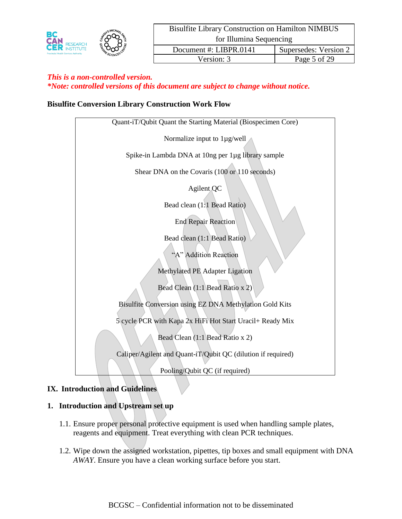

#### **Bisulfite Conversion Library Construction Work Flow**

#### **IX. Introduction and Guidelines**

#### **1. Introduction and Upstream set up**

- 1.1. Ensure proper personal protective equipment is used when handling sample plates, reagents and equipment. Treat everything with clean PCR techniques.
- 1.2. Wipe down the assigned workstation, pipettes, tip boxes and small equipment with DNA *AWAY*. Ensure you have a clean working surface before you start.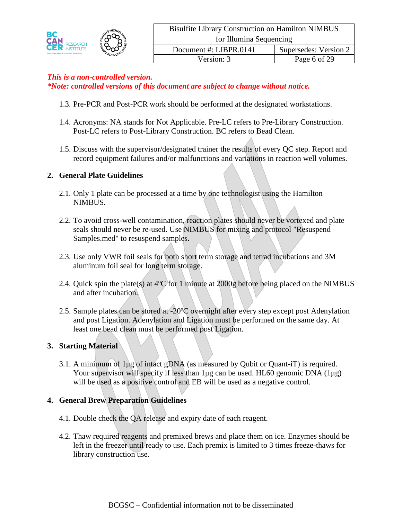

- 1.3. Pre-PCR and Post-PCR work should be performed at the designated workstations.
- 1.4. Acronyms: NA stands for Not Applicable. Pre-LC refers to Pre-Library Construction. Post-LC refers to Post-Library Construction. BC refers to Bead Clean.
- 1.5. Discuss with the supervisor/designated trainer the results of every QC step. Report and record equipment failures and/or malfunctions and variations in reaction well volumes.

#### **2. General Plate Guidelines**

- 2.1. Only 1 plate can be processed at a time by one technologist using the Hamilton NIMBUS.
- 2.2. To avoid cross-well contamination, reaction plates should never be vortexed and plate seals should never be re-used. Use NIMBUS for mixing and protocol "Resuspend Samples.med" to resuspend samples.
- 2.3. Use only VWR foil seals for both short term storage and tetrad incubations and 3M aluminum foil seal for long term storage.
- 2.4. Quick spin the plate(s) at 4ºC for 1 minute at 2000g before being placed on the NIMBUS and after incubation.
- 2.5. Sample plates can be stored at -20ºC overnight after every step except post Adenylation and post Ligation. Adenylation and Ligation must be performed on the same day. At least one bead clean must be performed post Ligation.

#### **3. Starting Material**

3.1. A minimum of 1µg of intact gDNA (as measured by Qubit or Quant-iT) is required. Your supervisor will specify if less than  $1\mu$ g can be used. HL60 genomic DNA  $(1\mu$ g) will be used as a positive control and EB will be used as a negative control.

#### **4. General Brew Preparation Guidelines**

- 4.1. Double check the QA release and expiry date of each reagent.
- 4.2. Thaw required reagents and premixed brews and place them on ice. Enzymes should be left in the freezer until ready to use. Each premix is limited to 3 times freeze-thaws for library construction use.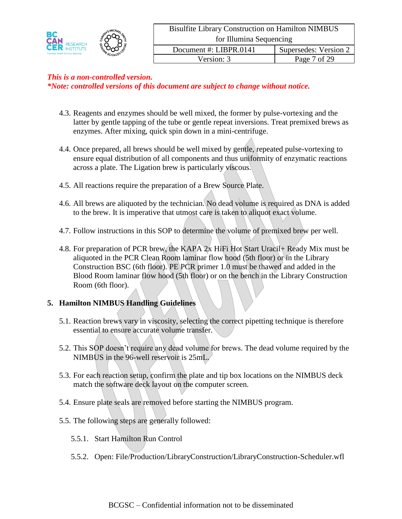- 4.3. Reagents and enzymes should be well mixed, the former by pulse-vortexing and the latter by gentle tapping of the tube or gentle repeat inversions. Treat premixed brews as enzymes. After mixing, quick spin down in a mini-centrifuge.
- 4.4. Once prepared, all brews should be well mixed by gentle, repeated pulse-vortexing to ensure equal distribution of all components and thus uniformity of enzymatic reactions across a plate. The Ligation brew is particularly viscous.
- 4.5. All reactions require the preparation of a Brew Source Plate.
- 4.6. All brews are aliquoted by the technician. No dead volume is required as DNA is added to the brew. It is imperative that utmost care is taken to aliquot exact volume.
- 4.7. Follow instructions in this SOP to determine the volume of premixed brew per well.
- 4.8. For preparation of PCR brew, the KAPA 2x HiFi Hot Start Uracil+ Ready Mix must be aliquoted in the PCR Clean Room laminar flow hood (5th floor) or in the Library Construction BSC (6th floor). PE PCR primer 1.0 must be thawed and added in the Blood Room laminar flow hood (5th floor) or on the bench in the Library Construction Room (6th floor).

# **5. Hamilton NIMBUS Handling Guidelines**

- 5.1. Reaction brews vary in viscosity, selecting the correct pipetting technique is therefore essential to ensure accurate volume transfer.
- 5.2. This SOP doesn't require any dead volume for brews. The dead volume required by the NIMBUS in the 96-well reservoir is 25mL.
- 5.3. For each reaction setup, confirm the plate and tip box locations on the NIMBUS deck match the software deck layout on the computer screen.
- 5.4. Ensure plate seals are removed before starting the NIMBUS program.
- 5.5. The following steps are generally followed:
	- 5.5.1. Start Hamilton Run Control
	- 5.5.2. Open: File/Production/LibraryConstruction/LibraryConstruction-Scheduler.wfl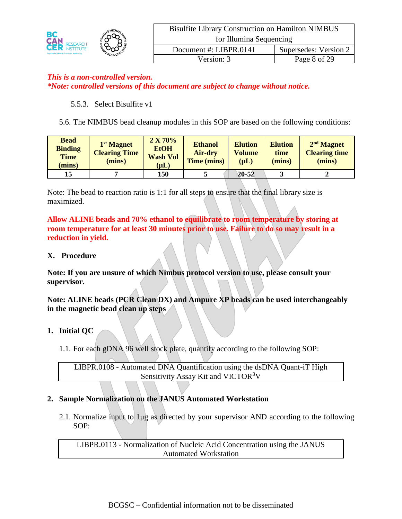|                                                                                       |  | <b>Bisulfite Library Construction on Hamilton NIMBUS</b> |                       |  |
|---------------------------------------------------------------------------------------|--|----------------------------------------------------------|-----------------------|--|
| BC<br><b>CAN RESEARCH</b><br>SCIENCESC<br><b>Provincial Health Services Authority</b> |  | for Illumina Sequencing                                  |                       |  |
|                                                                                       |  | Document #: LIBPR.0141                                   | Supersedes: Version 2 |  |
|                                                                                       |  | Version: 3                                               | Page 8 of 29          |  |

#### 5.5.3. Select Bisulfite v1

5.6. The NIMBUS bead cleanup modules in this SOP are based on the following conditions:

| <b>Bead</b><br><b>Binding</b><br><b>Time</b><br>(mins) | 1 <sup>st</sup> Magnet<br><b>Clearing Time</b><br>(mins) | 2 X 70%<br><b>EtOH</b><br><b>Wash Vol</b><br>$(\mu L)$ | <b>Ethanol</b><br><b>Air-dry</b><br>Time (mins) | <b>Elution</b><br><b>Volume</b><br>$(\mu L)$ | <b>Elution</b><br>time<br>(mins) | 2 <sup>nd</sup> Magnet<br><b>Clearing time</b><br>(mins) |
|--------------------------------------------------------|----------------------------------------------------------|--------------------------------------------------------|-------------------------------------------------|----------------------------------------------|----------------------------------|----------------------------------------------------------|
| 15                                                     |                                                          | 150                                                    |                                                 | $20 - 52$                                    |                                  |                                                          |

Note: The bead to reaction ratio is 1:1 for all steps to ensure that the final library size is maximized.

**Allow ALINE beads and 70% ethanol to equilibrate to room temperature by storing at room temperature for at least 30 minutes prior to use. Failure to do so may result in a reduction in yield.**

#### **X. Procedure**

**Note: If you are unsure of which Nimbus protocol version to use, please consult your supervisor.**

**Note: ALINE beads (PCR Clean DX) and Ampure XP beads can be used interchangeably in the magnetic bead clean up steps**

- **1. Initial QC** 
	- 1.1. For each gDNA 96 well stock plate, quantify according to the following SOP:

LIBPR.0108 - Automated DNA Quantification using the dsDNA Quant-iT High Sensitivity Assay Kit and VICTOR<sup>3</sup>V

## **2. Sample Normalization on the JANUS Automated Workstation**

2.1. Normalize input to  $1\mu$ g as directed by your supervisor AND according to the following SOP:

LIBPR.0113 - Normalization of Nucleic Acid Concentration using the JANUS Automated Workstation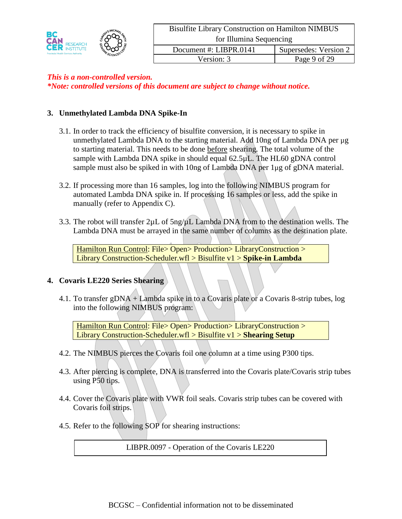

#### **3. Unmethylated Lambda DNA Spike-In**

- 3.1. In order to track the efficiency of bisulfite conversion, it is necessary to spike in unmethylated Lambda DNA to the starting material. Add 10ng of Lambda DNA per  $\mu$ g to starting material. This needs to be done before shearing. The total volume of the sample with Lambda DNA spike in should equal  $62.5\mu L$ . The HL60 gDNA control sample must also be spiked in with 10ng of Lambda DNA per 1 $\mu$ g of gDNA material.
- 3.2. If processing more than 16 samples, log into the following NIMBUS program for automated Lambda DNA spike in. If processing 16 samples or less, add the spike in manually (refer to Appendix C).
- 3.3. The robot will transfer  $2\mu L$  of  $5\frac{nq}{\mu}$  L Lambda DNA from to the destination wells. The Lambda DNA must be arrayed in the same number of columns as the destination plate.

Hamilton Run Control: File> Open> Production> LibraryConstruction > Library Construction-Scheduler.wfl > Bisulfite v1 > **Spike-in Lambda**

#### **4. Covaris LE220 Series Shearing**

4.1. To transfer gDNA + Lambda spike in to a Covaris plate or a Covaris 8-strip tubes, log into the following NIMBUS program:

Hamilton Run Control: File> Open> Production> LibraryConstruction > Library Construction-Scheduler.wfl > Bisulfite v1 > **Shearing Setup**

- 4.2. The NIMBUS pierces the Covaris foil one column at a time using P300 tips.
- 4.3. After piercing is complete, DNA is transferred into the Covaris plate/Covaris strip tubes using P50 tips.
- 4.4. Cover the Covaris plate with VWR foil seals. Covaris strip tubes can be covered with Covaris foil strips.
- 4.5. Refer to the following SOP for shearing instructions:

LIBPR.0097 - Operation of the Covaris LE220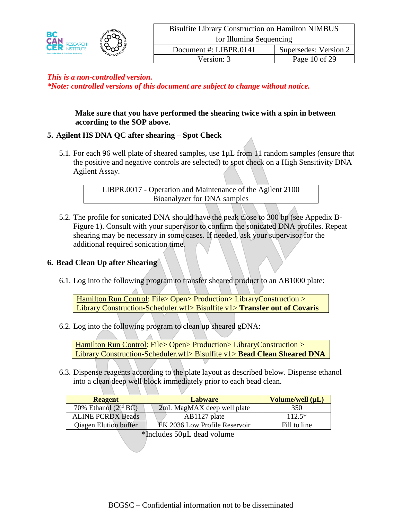

> **Make sure that you have performed the shearing twice with a spin in between according to the SOP above.**

## **5. Agilent HS DNA QC after shearing – Spot Check**

5.1. For each 96 well plate of sheared samples, use 1µL from 11 random samples (ensure that the positive and negative controls are selected) to spot check on a High Sensitivity DNA Agilent Assay.

> LIBPR.0017 - Operation and Maintenance of the Agilent 2100 Bioanalyzer for DNA samples

5.2. The profile for sonicated DNA should have the peak close to 300 bp (see Appedix B-Figure 1). Consult with your supervisor to confirm the sonicated DNA profiles. Repeat shearing may be necessary in some cases. If needed, ask your supervisor for the additional required sonication time.

#### **6. Bead Clean Up after Shearing**

6.1. Log into the following program to transfer sheared product to an AB1000 plate:

Hamilton Run Control: File> Open> Production> LibraryConstruction > Library Construction-Scheduler.wfl> Bisulfite v1> **Transfer out of Covaris**

6.2. Log into the following program to clean up sheared gDNA:

Hamilton Run Control: File> Open> Production> LibraryConstruction > Library Construction-Scheduler.wfl> Bisulfite v1> **Bead Clean Sheared DNA**

6.3. Dispense reagents according to the plate layout as described below. Dispense ethanol into a clean deep well block immediately prior to each bead clean.

| <b>Reagent</b>               | <b>Labware</b>                | Volume/well (µL) |
|------------------------------|-------------------------------|------------------|
| 70% Ethanol $(2nd BC)$       | 2mL MagMAX deep well plate    | 350              |
| <b>ALINE PCRDX Beads</b>     | AB1127 plate                  | $112.5*$         |
| <b>Qiagen Elution buffer</b> | EK 2036 Low Profile Reservoir | Fill to line     |

\*Includes 50µL dead volume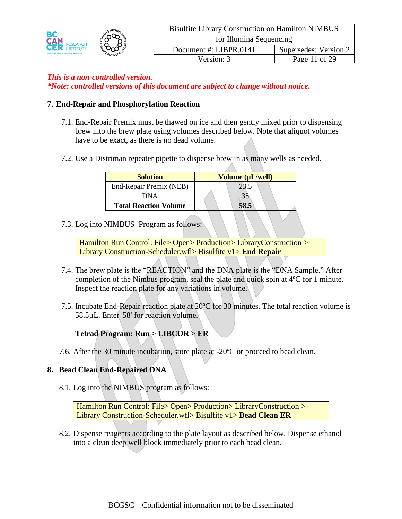

#### **7. End-Repair and Phosphorylation Reaction**

- 7.1. End-Repair Premix must be thawed on ice and then gently mixed prior to dispensing brew into the brew plate using volumes described below. Note that aliquot volumes have to be exact, as there is no dead volume.
- 7.2. Use a Distriman repeater pipette to dispense brew in as many wells as needed.

| <b>Solution</b>              | Volume (µL/well) |  |  |
|------------------------------|------------------|--|--|
| End-Repair Premix (NEB)      |                  |  |  |
| <b>DNA</b>                   |                  |  |  |
| <b>Total Reaction Volume</b> |                  |  |  |

7.3. Log into NIMBUS Program as follows:

Hamilton Run Control: File> Open> Production> LibraryConstruction > Library Construction-Scheduler.wfl> Bisulfite v1> **End Repair**

- 7.4. The brew plate is the "REACTION" and the DNA plate is the "DNA Sample." After completion of the Nimbus program, seal the plate and quick spin at 4ºC for 1 minute. Inspect the reaction plate for any variations in volume.
- 7.5. Incubate End-Repair reaction plate at 20ºC for 30 minutes. The total reaction volume is 58.5µL. Enter '58' for reaction volume.

# **Tetrad Program: Run > LIBCOR > ER**

7.6. After the 30 minute incubation, store plate at -20ºC or proceed to bead clean.

## **8. Bead Clean End-Repaired DNA**

8.1. Log into the NIMBUS program as follows:

Hamilton Run Control: File> Open> Production> LibraryConstruction > Library Construction-Scheduler.wfl> Bisulfite v1> **Bead Clean ER**

8.2. Dispense reagents according to the plate layout as described below. Dispense ethanol into a clean deep well block immediately prior to each bead clean.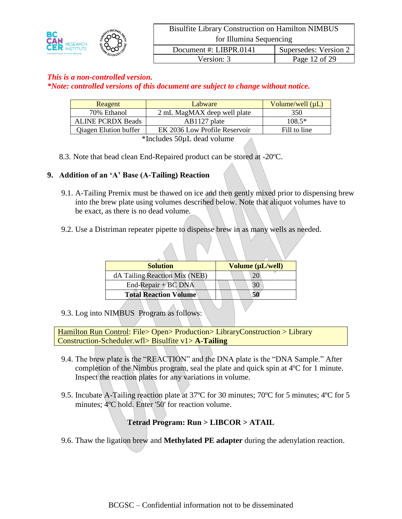

# *This is a non-controlled version.*

*\*Note: controlled versions of this document are subject to change without notice.*

| Reagent                              | Labware                       | Volume/well $(\mu L)$ |  |
|--------------------------------------|-------------------------------|-----------------------|--|
| 70% Ethanol                          | 2 mL MagMAX deep well plate   | 350                   |  |
| <b>ALINE PCRDX Beads</b>             | AB1127 plate                  | $108.5*$              |  |
| <b>Qiagen Elution buffer</b>         | EK 2036 Low Profile Reservoir | Fill to line          |  |
| $*l$ and $\epsilon$ 60.1 deed velume |                               |                       |  |

\*Includes 50µL dead volume

8.3. Note that bead clean End-Repaired product can be stored at -20ºC.

#### **9. Addition of an 'A' Base (A-Tailing) Reaction**

- 9.1. A-Tailing Premix must be thawed on ice and then gently mixed prior to dispensing brew into the brew plate using volumes described below. Note that aliquot volumes have to be exact, as there is no dead volume.
- 9.2. Use a Distriman repeater pipette to dispense brew in as many wells as needed.

| <b>Solution</b>               | Volume (µL/well) |
|-------------------------------|------------------|
| dA Tailing Reaction Mix (NEB) |                  |
| End-Repair + $BC$ DNA         |                  |
| <b>Total Reaction Volume</b>  |                  |

9.3. Log into NIMBUS Program as follows:

Hamilton Run Control: File> Open> Production> LibraryConstruction > Library Construction-Scheduler.wfl> Bisulfite v1> **A-Tailing**

- 9.4. The brew plate is the "REACTION" and the DNA plate is the "DNA Sample." After completion of the Nimbus program, seal the plate and quick spin at 4ºC for 1 minute. Inspect the reaction plates for any variations in volume.
- 9.5. Incubate A-Tailing reaction plate at 37ºC for 30 minutes; 70ºC for 5 minutes; 4ºC for 5 minutes; 4ºC hold. Enter '50' for reaction volume.

## **Tetrad Program: Run > LIBCOR > ATAIL**

9.6. Thaw the ligation brew and **Methylated PE adapter** during the adenylation reaction.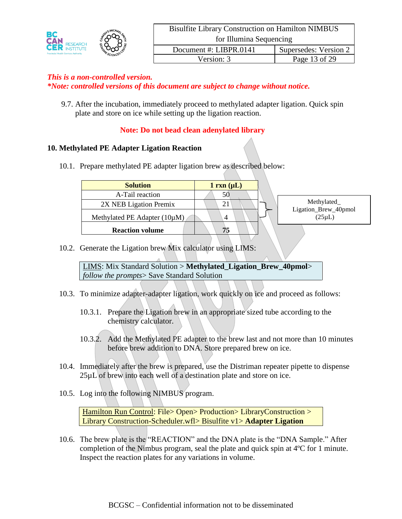|                                             |             | <b>Bisulfite Library Construction on Hamilton NIMBUS</b> |                       |
|---------------------------------------------|-------------|----------------------------------------------------------|-----------------------|
| <b>CAN RESEARCH</b>                         |             | for Illumina Sequencing                                  |                       |
| <b>Provincial Health Services Authority</b> | ME SCIENCES | Document #: LIBPR.0141                                   | Supersedes: Version 2 |
|                                             |             | Version: 3                                               | Page 13 of 29         |

9.7. After the incubation, immediately proceed to methylated adapter ligation. Quick spin plate and store on ice while setting up the ligation reaction.

## **Note: Do not bead clean adenylated library**

#### **10. Methylated PE Adapter Ligation Reaction**

10.1. Prepare methylated PE adapter ligation brew as described below:

| <b>Solution</b>                   | $1 \text{ rxn } (\mu L)$ |                                     |
|-----------------------------------|--------------------------|-------------------------------------|
| A-Tail reaction                   | 50                       |                                     |
| 2X NEB Ligation Premix            | 21                       | Methylated_                         |
| Methylated PE Adapter $(10\mu M)$ | 4                        | Ligation_Brew_40pmol<br>$(25\mu L)$ |
| <b>Reaction volume</b>            | 75                       |                                     |

10.2. Generate the Ligation brew Mix calculator using LIMS:

LIMS: Mix Standard Solution > **Methylated\_Ligation\_Brew\_40pmol**> *follow the prompts*> Save Standard Solution

- 10.3. To minimize adapter-adapter ligation, work quickly on ice and proceed as follows:
	- 10.3.1. Prepare the Ligation brew in an appropriate sized tube according to the chemistry calculator.
	- 10.3.2. Add the Methylated PE adapter to the brew last and not more than 10 minutes before brew addition to DNA. Store prepared brew on ice.
- 10.4. Immediately after the brew is prepared, use the Distriman repeater pipette to dispense 25µL of brew into each well of a destination plate and store on ice.
- 10.5. Log into the following NIMBUS program.

Hamilton Run Control: File> Open> Production> LibraryConstruction > Library Construction-Scheduler.wfl> Bisulfite v1> **Adapter Ligation**

10.6. The brew plate is the "REACTION" and the DNA plate is the "DNA Sample." After completion of the Nimbus program, seal the plate and quick spin at 4ºC for 1 minute. Inspect the reaction plates for any variations in volume.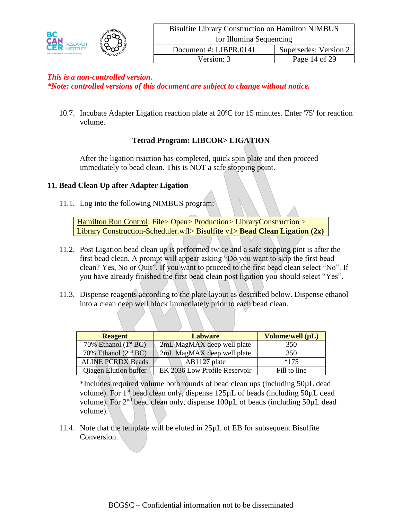

*This is a non-controlled version.*

*\*Note: controlled versions of this document are subject to change without notice.*

10.7. Incubate Adapter Ligation reaction plate at 20ºC for 15 minutes. Enter '75' for reaction volume.

## **Tetrad Program: LIBCOR> LIGATION**

After the ligation reaction has completed, quick spin plate and then proceed immediately to bead clean. This is NOT a safe stopping point.

#### **11. Bead Clean Up after Adapter Ligation**

11.1. Log into the following NIMBUS program:

Hamilton Run Control: File> Open> Production> LibraryConstruction > Library Construction-Scheduler.wfl> Bisulfite v1> **Bead Clean Ligation (2x)**

- 11.2. Post Ligation bead clean up is performed twice and a safe stopping pint is after the first bead clean. A prompt will appear asking "Do you want to skip the first bead clean? Yes, No or Quit". If you want to proceed to the first bead clean select "No". If you have already finished the first bead clean post ligation you should select "Yes".
- 11.3. Dispense reagents according to the plate layout as described below. Dispense ethanol into a clean deep well block immediately prior to each bead clean.

| <b>Reagent</b>               | <b>Labware</b>                | Volume/well (µL) |
|------------------------------|-------------------------------|------------------|
| 70% Ethanol $(1st BC)$       | 2mL MagMAX deep well plate    | 350              |
| 70% Ethanol $(2nd BC)$       | 2mL MagMAX deep well plate    | 350              |
| <b>ALINE PCRDX Beads</b>     | $AB1127$ plate                | $*175$           |
| <b>Qiagen Elution buffer</b> | EK 2036 Low Profile Reservoir | Fill to line     |

\*Includes required volume both rounds of bead clean ups (including 50µL dead volume). For  $1<sup>st</sup>$  bead clean only, dispense  $125\mu L$  of beads (including  $50\mu L$  dead volume). For  $2<sup>nd</sup>$  bead clean only, dispense 100 $\mu$ L of beads (including 50 $\mu$ L dead volume).

11.4. Note that the template will be eluted in 25µL of EB for subsequent Bisulfite Conversion.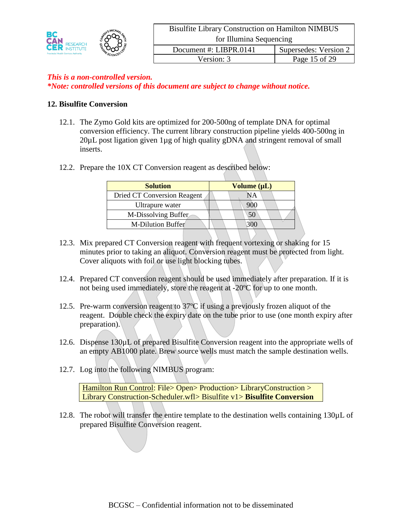|                                             |        | <b>Bisulfite Library Construction on Hamilton NIMBUS</b> |                       |
|---------------------------------------------|--------|----------------------------------------------------------|-----------------------|
| ВC<br><b>CAN RESEARCH</b>                   |        | for Illumina Sequencing                                  |                       |
| <b>Provincial Health Services Authority</b> | SCIENC | Document #: LIBPR.0141                                   | Supersedes: Version 2 |
|                                             |        | Version: 3                                               | Page 15 of 29         |

#### **12. Bisulfite Conversion**

- 12.1. The Zymo Gold kits are optimized for 200-500ng of template DNA for optimal conversion efficiency. The current library construction pipeline yields 400-500ng in 20µL post ligation given 1µg of high quality gDNA and stringent removal of small inserts.
- 12.2. Prepare the 10X CT Conversion reagent as described below:

| <b>Solution</b>                    | Volume $(\mu L)$ |
|------------------------------------|------------------|
| <b>Dried CT Conversion Reagent</b> | NΑ               |
| Ultrapure water                    | 900              |
| M-Dissolving Buffer                | 50               |
| <b>M-Dilution Buffer</b>           |                  |

- 12.3. Mix prepared CT Conversion reagent with frequent vortexing or shaking for 15 minutes prior to taking an aliquot. Conversion reagent must be protected from light. Cover aliquots with foil or use light blocking tubes.
- 12.4. Prepared CT conversion reagent should be used immediately after preparation. If it is not being used immediately, store the reagent at -20ºC for up to one month.
- 12.5. Pre-warm conversion reagent to 37ºC if using a previously frozen aliquot of the reagent. Double check the expiry date on the tube prior to use (one month expiry after preparation).
- 12.6. Dispense 130µL of prepared Bisulfite Conversion reagent into the appropriate wells of an empty AB1000 plate. Brew source wells must match the sample destination wells.
- 12.7. Log into the following NIMBUS program:

Hamilton Run Control: File> Open> Production> LibraryConstruction > Library Construction-Scheduler.wfl> Bisulfite v1> **Bisulfite Conversion**

12.8. The robot will transfer the entire template to the destination wells containing 130 $\mu$ L of prepared Bisulfite Conversion reagent.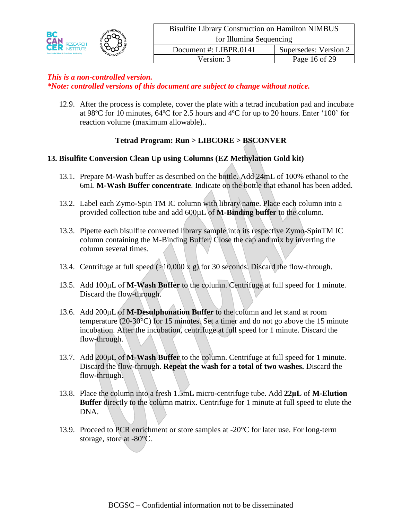12.9. After the process is complete, cover the plate with a tetrad incubation pad and incubate at 98ºC for 10 minutes, 64ºC for 2.5 hours and 4ºC for up to 20 hours. Enter '100' for reaction volume (maximum allowable)..

# **Tetrad Program: Run > LIBCORE > BSCONVER**

#### **13. Bisulfite Conversion Clean Up using Columns (EZ Methylation Gold kit)**

- 13.1. Prepare M-Wash buffer as described on the bottle. Add 24mL of 100% ethanol to the 6mL **M-Wash Buffer concentrate**. Indicate on the bottle that ethanol has been added.
- 13.2. Label each Zymo-Spin TM IC column with library name. Place each column into a provided collection tube and add 600µL of **M-Binding buffer** to the column.
- 13.3. Pipette each bisulfite converted library sample into its respective Zymo-SpinTM IC column containing the M-Binding Buffer. Close the cap and mix by inverting the column several times.
- 13.4. Centrifuge at full speed  $(>10,000 \times g)$  for 30 seconds. Discard the flow-through.
- 13.5. Add 100μL of **M-Wash Buffer** to the column. Centrifuge at full speed for 1 minute. Discard the flow-through.
- 13.6. Add 200μL of **M-Desulphonation Buffer** to the column and let stand at room temperature (20-30°C) for 15 minutes. Set a timer and do not go above the 15 minute incubation. After the incubation, centrifuge at full speed for 1 minute. Discard the flow-through.
- 13.7. Add 200μL of **M-Wash Buffer** to the column. Centrifuge at full speed for 1 minute. Discard the flow-through. **Repeat the wash for a total of two washes.** Discard the flow-through.
- 13.8. Place the column into a fresh 1.5mL micro-centrifuge tube. Add **22μL** of **M-Elution Buffer** directly to the column matrix. Centrifuge for 1 minute at full speed to elute the DNA.
- 13.9. Proceed to PCR enrichment or store samples at -20°C for later use. For long-term storage, store at -80°C.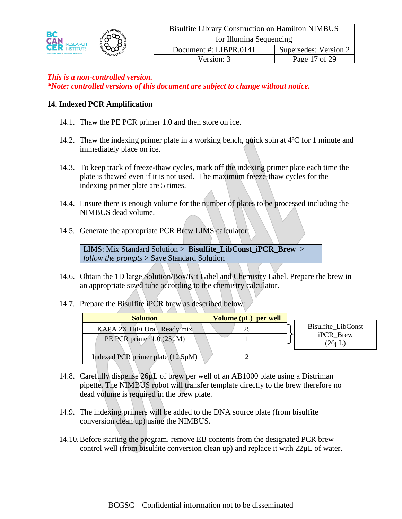

#### **14. Indexed PCR Amplification**

- 14.1. Thaw the PE PCR primer 1.0 and then store on ice.
- 14.2. Thaw the indexing primer plate in a working bench, quick spin at 4ºC for 1 minute and immediately place on ice.
- 14.3. To keep track of freeze-thaw cycles, mark off the indexing primer plate each time the plate is thawed even if it is not used. The maximum freeze-thaw cycles for the indexing primer plate are 5 times.
- 14.4. Ensure there is enough volume for the number of plates to be processed including the NIMBUS dead volume.
- 14.5. Generate the appropriate PCR Brew LIMS calculator:

LIMS: Mix Standard Solution > **Bisulfite\_LibConst\_iPCR\_Brew** > *follow the prompts* > Save Standard Solution

- 14.6. Obtain the 1D large Solution/Box/Kit Label and Chemistry Label. Prepare the brew in an appropriate sized tube according to the chemistry calculator.
- 14.7. Prepare the Bisulfite iPCR brew as described below:

| <b>Solution</b>                        | Volume $(\mu L)$ per well |                           |
|----------------------------------------|---------------------------|---------------------------|
| KAPA 2X HiFi Ura+ Ready mix            | 25                        | <b>Bisulfite LibConst</b> |
| PE PCR primer $1.0(25 \mu M)$          |                           | iPCR Brew<br>$(26\mu L)$  |
| Indexed PCR primer plate $(12.5\mu M)$ |                           |                           |

- 14.8. Carefully dispense 26µL of brew per well of an AB1000 plate using a Distriman pipette. The NIMBUS robot will transfer template directly to the brew therefore no dead volume is required in the brew plate.
- 14.9. The indexing primers will be added to the DNA source plate (from bisulfite conversion clean up) using the NIMBUS.
- 14.10.Before starting the program, remove EB contents from the designated PCR brew control well (from bisulfite conversion clean up) and replace it with 22µL of water.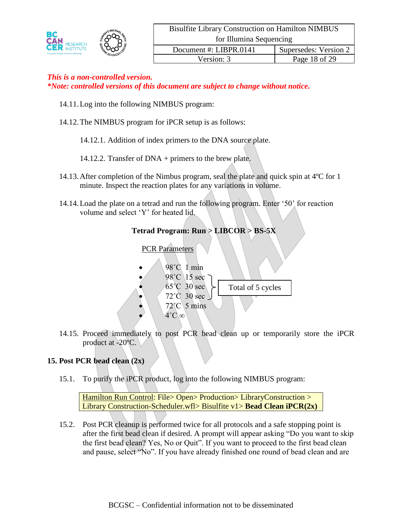

- 14.11.Log into the following NIMBUS program:
- 14.12.The NIMBUS program for iPCR setup is as follows:
	- 14.12.1. Addition of index primers to the DNA source plate.
	- 14.12.2. Transfer of DNA + primers to the brew plate.
- 14.13.After completion of the Nimbus program, seal the plate and quick spin at 4ºC for 1 minute. Inspect the reaction plates for any variations in volume.
- 14.14.Load the plate on a tetrad and run the following program. Enter '50' for reaction volume and select 'Y' for heated lid.



14.15. Proceed immediately to post PCR bead clean up or temporarily store the iPCR product at -20ºC.

## **15. Post PCR bead clean (2x)**

15.1. To purify the iPCR product, log into the following NIMBUS program:

Hamilton Run Control: File> Open> Production> LibraryConstruction > Library Construction-Scheduler.wfl> Bisulfite v1> **Bead Clean iPCR(2x)**

15.2. Post PCR cleanup is performed twice for all protocols and a safe stopping point is after the first bead clean if desired. A prompt will appear asking "Do you want to skip the first bead clean? Yes, No or Quit". If you want to proceed to the first bead clean and pause, select "No". If you have already finished one round of bead clean and are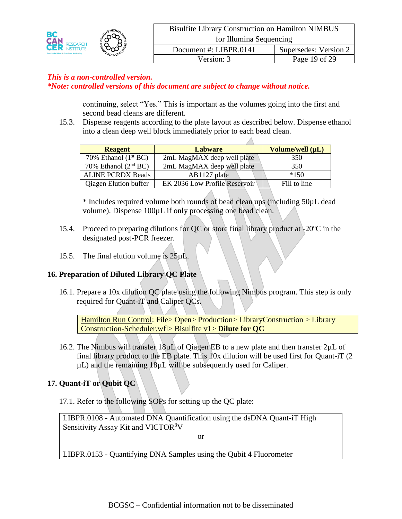

continuing, select "Yes." This is important as the volumes going into the first and second bead cleans are different.

15.3. Dispense reagents according to the plate layout as described below. Dispense ethanol into a clean deep well block immediately prior to each bead clean.

| <b>Reagent</b>               | <b>Labware</b>                | Volume/well (µL) |
|------------------------------|-------------------------------|------------------|
| 70% Ethanol $(1st BC)$       | 2mL MagMAX deep well plate    | 350              |
| 70% Ethanol $(2nd BC)$       | 2mL MagMAX deep well plate    | 350              |
| <b>ALINE PCRDX Beads</b>     | AB1127 plate                  | $*150$           |
| <b>Qiagen Elution buffer</b> | EK 2036 Low Profile Reservoir | Fill to line     |

\* Includes required volume both rounds of bead clean ups (including 50µL dead volume). Dispense 100µL if only processing one bead clean.

- 15.4. Proceed to preparing dilutions for QC or store final library product at -20ºC in the designated post-PCR freezer.
- 15.5. The final elution volume is  $25\mu L$ .

#### **16. Preparation of Diluted Library QC Plate**

16.1. Prepare a 10x dilution QC plate using the following Nimbus program. This step is only required for Quant-iT and Caliper QCs.

Hamilton Run Control: File> Open> Production> LibraryConstruction > Library Construction-Scheduler.wfl> Bisulfite v1> **Dilute for QC**

16.2. The Nimbus will transfer 18µL of Qiagen EB to a new plate and then transfer 2µL of final library product to the EB plate. This 10x dilution will be used first for Quant-iT (2 µL) and the remaining 18µL will be subsequently used for Caliper.

#### **17. Quant-iT or Qubit QC**

17.1. Refer to the following SOPs for setting up the QC plate:

LIBPR.0108 - Automated DNA Quantification using the dsDNA Quant-iT High Sensitivity Assay Kit and VICTOR<sup>3</sup>V

or

LIBPR.0153 - Quantifying DNA Samples using the Qubit 4 Fluorometer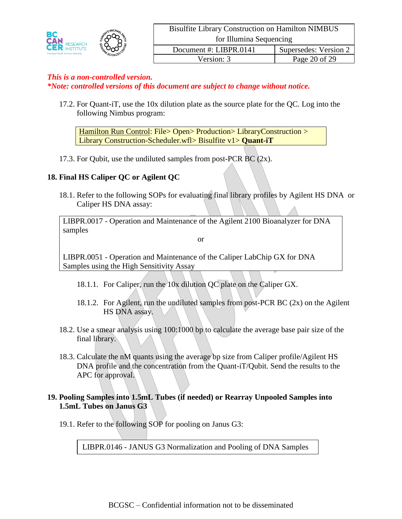

17.2. For Quant-iT, use the 10x dilution plate as the source plate for the QC. Log into the following Nimbus program:

Hamilton Run Control: File> Open> Production> LibraryConstruction > Library Construction-Scheduler.wfl> Bisulfite v1> **Quant-iT**

17.3. For Qubit, use the undiluted samples from post-PCR  $BC(2x)$ .

## **18. Final HS Caliper QC or Agilent QC**

18.1. Refer to the following SOPs for evaluating final library profiles by Agilent HS DNA or Caliper HS DNA assay:

LIBPR.0017 - Operation and Maintenance of the Agilent 2100 Bioanalyzer for DNA samples

or

LIBPR.0051 - Operation and Maintenance of the Caliper LabChip GX for DNA Samples using the High Sensitivity Assay

- 18.1.1. For Caliper, run the 10x dilution QC plate on the Caliper GX.
- 18.1.2. For Agilent, run the undiluted samples from post-PCR BC (2x) on the Agilent HS DNA assay.
- 18.2. Use a smear analysis using 100:1000 bp to calculate the average base pair size of the final library.
- 18.3. Calculate the nM quants using the average bp size from Caliper profile/Agilent HS DNA profile and the concentration from the Quant-iT/Qubit. Send the results to the APC for approval.

#### **19. Pooling Samples into 1.5mL Tubes (if needed) or Rearray Unpooled Samples into 1.5mL Tubes on Janus G3**

19.1. Refer to the following SOP for pooling on Janus G3:

LIBPR.0146 - JANUS G3 Normalization and Pooling of DNA Samples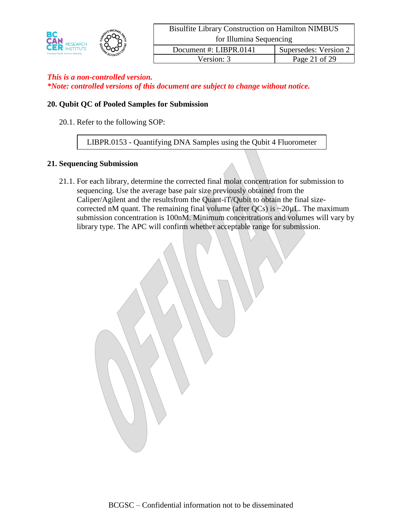

#### **20. Qubit QC of Pooled Samples for Submission**

20.1. Refer to the following SOP:

LIBPR.0153 - Quantifying DNA Samples using the Qubit 4 Fluorometer

#### **21. Sequencing Submission**

21.1. For each library, determine the corrected final molar concentration for submission to sequencing. Use the average base pair size previously obtained from the Caliper/Agilent and the resultsfrom the Quant-iT/Qubit to obtain the final sizecorrected nM quant. The remaining final volume (after QCs) is  $\sim$ 20 $\mu$ L. The maximum submission concentration is 100nM. Minimum concentrations and volumes will vary by library type. The APC will confirm whether acceptable range for submission.

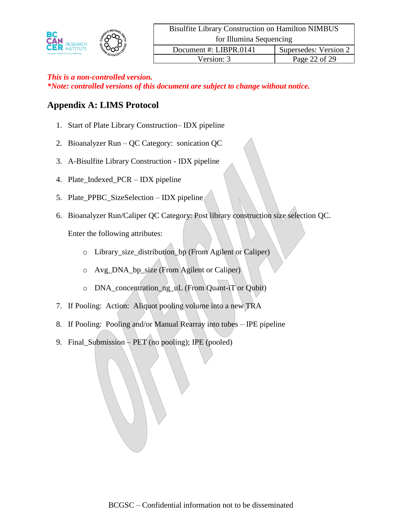

# **Appendix A: LIMS Protocol**

- 1. Start of Plate Library Construction– IDX pipeline
- 2. Bioanalyzer Run QC Category: sonication QC
- 3. A-Bisulfite Library Construction IDX pipeline
- 4. Plate\_Indexed\_PCR IDX pipeline
- 5. Plate\_PPBC\_SizeSelection IDX pipeline
- 6. Bioanalyzer Run/Caliper QC Category: Post library construction size selection QC.

Enter the following attributes:

- o Library\_size\_distribution\_bp (From Agilent or Caliper)
- o Avg\_DNA\_bp\_size (From Agilent or Caliper)
- o DNA\_concentration\_ng\_uL (From Quant-iT or Qubit)
- 7. If Pooling: Action: Aliquot pooling volume into a new TRA
- 8. If Pooling: Pooling and/or Manual Rearray into tubes IPE pipeline
- 9. Final\_Submission  $\div$  PET (no pooling); IPE (pooled)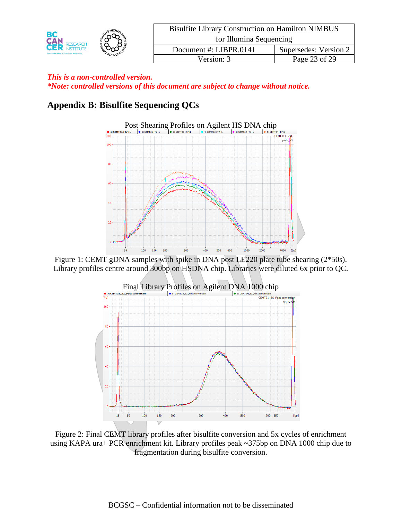|                                             |  | <b>Bisulfite Library Construction on Hamilton NIMBUS</b> |                       |
|---------------------------------------------|--|----------------------------------------------------------|-----------------------|
| BC<br><b>CAN RESEARCH</b>                   |  | for Illumina Sequencing                                  |                       |
| <b>Provincial Health Services Authority</b> |  | Document #: LIBPR.0141                                   | Supersedes: Version 2 |
|                                             |  | Version: 3                                               | Page 23 of 29         |

# **Appendix B: Bisulfite Sequencing QCs**



Figure 1: CEMT gDNA samples with spike in DNA post LE220 plate tube shearing (2\*50s). Library profiles centre around 300bp on HSDNA chip. Libraries were diluted 6x prior to QC.



Figure 2: Final CEMT library profiles after bisulfite conversion and 5x cycles of enrichment using KAPA ura+ PCR enrichment kit. Library profiles peak ~375bp on DNA 1000 chip due to fragmentation during bisulfite conversion.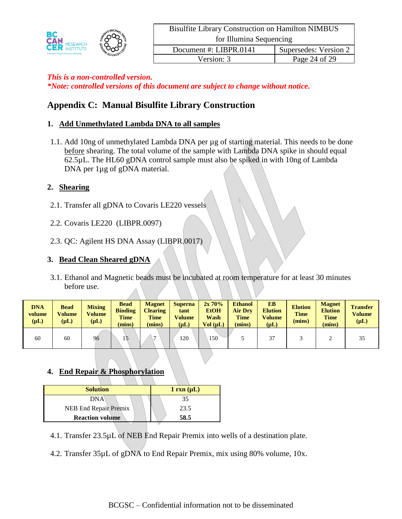

# **Appendix C: Manual Bisulfite Library Construction**

#### **1. Add Unmethylated Lambda DNA to all samples**

1.1. Add 10ng of unmethylated Lambda DNA per µg of starting material. This needs to be done before shearing. The total volume of the sample with Lambda DNA spike in should equal 62.5µL. The HL60 gDNA control sample must also be spiked in with 10ng of Lambda DNA per 1µg of gDNA material.

#### **2. Shearing**

- 2.1. Transfer all gDNA to Covaris LE220 vessels
- 2.2. Covaris LE220 (LIBPR.0097)
- 2.3. QC: Agilent HS DNA Assay (LIBPR.0017)

#### **3. Bead Clean Sheared gDNA**

3.1. Ethanol and Magnetic beads must be incubated at room temperature for at least 30 minutes before use.

| <b>DNA</b><br>volume<br>$(\mu L)$ | <b>Bead</b><br><b>Volume</b><br>$(\mu L)$ | <b>Mixing</b><br><b>Volume</b><br>$(\mu L)$ | Bead<br><b>Binding</b><br><b>Time</b><br>mins) | <b>Magnet</b><br><b>Clearing</b><br><b>Time</b><br>(mins) | <b>Superna</b><br>tant<br><b>Volume</b><br>$(\mu L)$ | $2x\,70\%$<br><b>EtOH</b><br>Wash<br>Vol (uL) | <b>Ethanol</b><br><b>Air Drv</b><br><b>Time</b><br>(mins) | <b>EB</b><br><b>Elution</b><br><b>Volume</b><br>$(\mu L)$ | <b>Elution</b><br><b>Time</b><br>(mins) | <b>Magnet</b><br><b>Elution</b><br><b>Time</b><br>(mins) | <b>Transfer</b><br>Volume<br>$(\mu L)$ |
|-----------------------------------|-------------------------------------------|---------------------------------------------|------------------------------------------------|-----------------------------------------------------------|------------------------------------------------------|-----------------------------------------------|-----------------------------------------------------------|-----------------------------------------------------------|-----------------------------------------|----------------------------------------------------------|----------------------------------------|
| 60                                | 60                                        | 96                                          | 5                                              | -                                                         | 120                                                  | 150                                           |                                                           | 37                                                        |                                         |                                                          | 35                                     |

#### **4. End Repair & Phosphorylation**

| <b>Solution</b>        | $1 \text{ rxn } (\mu L)$ |
|------------------------|--------------------------|
| <b>DNA</b>             | 35                       |
| NEB End Repair Premix  | 23.5                     |
| <b>Reaction volume</b> | 58.5                     |

- 4.1. Transfer 23.5µL of NEB End Repair Premix into wells of a destination plate.
- 4.2. Transfer 35µL of gDNA to End Repair Premix, mix using 80% volume, 10x.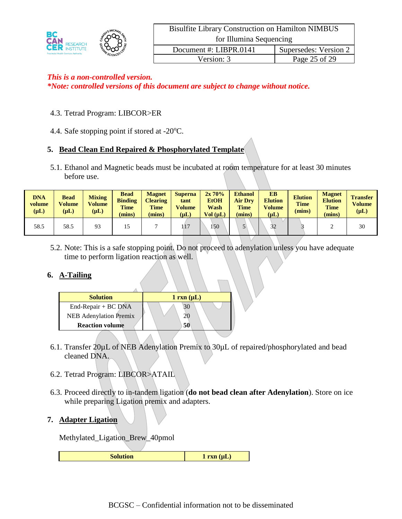| BC                                                                 |          | <b>Bisulfite Library Construction on Hamilton NIMBUS</b> |                       |  |  |  |
|--------------------------------------------------------------------|----------|----------------------------------------------------------|-----------------------|--|--|--|
| <b>CAN RESEARCH</b><br><b>Provincial Health Services Authority</b> |          | for Illumina Sequencing                                  |                       |  |  |  |
|                                                                    | SCIENCES | Document #: LIBPR.0141                                   | Supersedes: Version 2 |  |  |  |
|                                                                    |          | Version: 3                                               | Page 25 of 29         |  |  |  |

#### 4.3. Tetrad Program: LIBCOR>ER

4.4. Safe stopping point if stored at  $-20^{\circ}$ C.

# **5. Bead Clean End Repaired & Phosphorylated Template**

5.1. Ethanol and Magnetic beads must be incubated at room temperature for at least 30 minutes before use.

| <b>DNA</b><br>volume<br>$(\mu L)$ | <b>Bead</b><br>Volume<br>$(\mathbf{u} \mathbf{L})$ | <b>Mixing</b><br><b>Volume</b><br>$(\mu L)$ | <b>Bead</b><br><b>Binding</b><br><b>Time</b><br>(mins) | <b>Magnet</b><br><b>Clearing</b><br><b>Time</b><br>(mins) | <b>Superna</b><br>tant<br>Volume<br>$(\mu L)$ | $2x\ 70\%$<br><b>EtOH</b><br>Wash<br>Vol (uL) | <b>Ethanol</b><br><b>Air Dry</b><br><b>Time</b><br>(mins) | <b>EB</b><br><b>Elution</b><br><b>Volume</b><br>$(\mu L)$ | <b>Elution</b><br><b>Time</b><br>(mins) | <b>Magnet</b><br><b>Elution</b><br><b>Time</b><br>(mins) | <b>Transfer</b><br>Volume<br>$(\mu L)$ |
|-----------------------------------|----------------------------------------------------|---------------------------------------------|--------------------------------------------------------|-----------------------------------------------------------|-----------------------------------------------|-----------------------------------------------|-----------------------------------------------------------|-----------------------------------------------------------|-----------------------------------------|----------------------------------------------------------|----------------------------------------|
| 58.5                              | 58.5                                               | 93                                          |                                                        |                                                           | 117                                           | 150                                           |                                                           | $\Delta$                                                  |                                         |                                                          | 30                                     |

5.2. Note: This is a safe stopping point. Do not proceed to adenylation unless you have adequate time to perform ligation reaction as well.

#### **6. A-Tailing**

| <b>Solution</b>               | $1 \, \text{rxn} \, (\mu L)$ |
|-------------------------------|------------------------------|
| End-Repair + BC DNA           | 30                           |
| <b>NEB</b> Adenylation Premix | ŽŪ.                          |
| <b>Reaction volume</b>        | 50                           |
|                               |                              |

- 6.1. Transfer 20µL of NEB Adenylation Premix to 30µL of repaired/phosphorylated and bead cleaned DNA.
- 6.2. Tetrad Program: LIBCOR>ATAIL
- 6.3. Proceed directly to in-tandem ligation (**do not bead clean after Adenylation**). Store on ice while preparing Ligation premix and adapters.

#### **7. Adapter Ligation**

Methylated\_Ligation\_Brew\_40pmol

**Solution 1 rxn** ( $\mu$ L)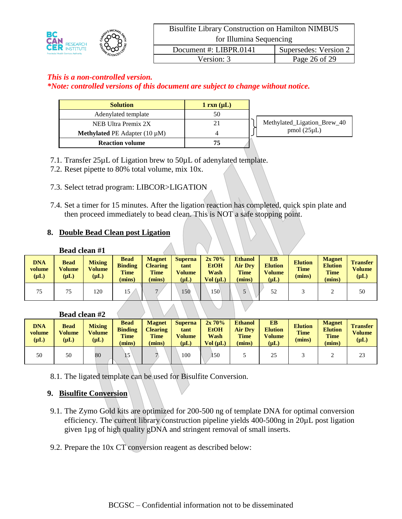|                                                                          |                         | <b>Bisulfite Library Construction on Hamilton NIMBUS</b> |  |  |  |  |
|--------------------------------------------------------------------------|-------------------------|----------------------------------------------------------|--|--|--|--|
| BC<br><b>CAN RESEARCH</b><br><b>Provincial Health Services Authority</b> | for Illumina Sequencing |                                                          |  |  |  |  |
|                                                                          | Document #: LIBPR.0141  | Supersedes: Version 2                                    |  |  |  |  |
|                                                                          | Version: 3              | Page 26 of 29                                            |  |  |  |  |

#### *This is a non-controlled version.*

*\*Note: controlled versions of this document are subject to change without notice.*

| <b>Solution</b>                           | $1 \text{ rxn } (\mu L)$ |                             |
|-------------------------------------------|--------------------------|-----------------------------|
| Adenylated template                       | 50                       |                             |
| NEB Ultra Premix 2X                       | 21                       | Methylated_Ligation_Brew_40 |
| <b>Methylated PE</b> Adapter $(10 \mu M)$ |                          | $pmol(25\mu L)$             |
| <b>Reaction volume</b>                    | 75                       |                             |

- 7.1. Transfer 25µL of Ligation brew to 50µL of adenylated template.
- 7.2. Reset pipette to 80% total volume, mix 10x.
- 7.3. Select tetrad program: LIBCOR>LIGATION
- 7.4. Set a timer for 15 minutes. After the ligation reaction has completed, quick spin plate and then proceed immediately to bead clean. This is NOT a safe stopping point.

#### **8. Double Bead Clean post Ligation**

| Bead clean #1 |  |  |  |
|---------------|--|--|--|
|---------------|--|--|--|

| <b>DNA</b><br>volume<br>$(\mu L)$ | <b>Bead</b><br><b>Volume</b><br>$(\mu L)$ | <b>Mixing</b><br><b>Volume</b><br>$(\mu L)$ | <b>Bead</b><br><b>Binding</b><br><b>Time</b><br>mins) | <b>Magnet</b><br><b>Clearing</b><br><b>Time</b><br>$(\mathbf{mins})$ | <b>Superna</b><br>tant<br><b>Volume</b><br>$(\mu L)$ | 2x70%<br><b>EtOH</b><br>Wash<br>Vol (uL) | <b>Ethanol</b><br><b>Air Drv</b><br><b>Time</b><br>(mins) | <b>EB</b><br><b>Elution</b><br><b>Volume</b><br>$(\mu L)$ | <b>Elution</b><br><b>Time</b><br>(mins) | <b>Magnet</b><br><b>Elution</b><br><b>Time</b><br>(mins) | <b>Transfer</b><br><b>Volume</b><br>$(\mu L)$ |
|-----------------------------------|-------------------------------------------|---------------------------------------------|-------------------------------------------------------|----------------------------------------------------------------------|------------------------------------------------------|------------------------------------------|-----------------------------------------------------------|-----------------------------------------------------------|-----------------------------------------|----------------------------------------------------------|-----------------------------------------------|
| 75                                | 75                                        | 120                                         | .5                                                    |                                                                      | 150                                                  | 150                                      |                                                           |                                                           |                                         |                                                          | 50                                            |

#### **Bead clean #2**

| <b>DNA</b><br>volume<br>$(\mu L)$ | <b>Bead</b><br>Volume<br>$(\mu L)$ | <b>Mixing</b><br><b>Volume</b><br>$(\mu L)$ | Bead<br><b>Binding</b><br><b>Time</b><br>(mins) | <b>Magnet</b><br><b>Clearing</b><br><b>Time</b><br>(mins) | <b>Superna</b><br>tant<br><b>Volume</b><br>$(\mu L)$ | 2x70%<br><b>EtOH</b><br><b>Wash</b><br>Vol (uL) | <b>Ethanol</b><br><b>Air Drv</b><br><b>Time</b><br>(mins) | <b>EB</b><br><b>Elution</b><br><b>Volume</b><br>$(\mu L)$ | <b>Elution</b><br><b>Time</b><br>(mins) | <b>Magnet</b><br><b>Elution</b><br><b>Time</b><br>(mins) | <b>Transfer</b><br>Volume<br>$(\mu L)$ |
|-----------------------------------|------------------------------------|---------------------------------------------|-------------------------------------------------|-----------------------------------------------------------|------------------------------------------------------|-------------------------------------------------|-----------------------------------------------------------|-----------------------------------------------------------|-----------------------------------------|----------------------------------------------------------|----------------------------------------|
| 50                                | 50                                 | 80                                          |                                                 |                                                           | 100                                                  | 150                                             |                                                           | 25                                                        |                                         |                                                          | 23                                     |

8.1. The ligated template can be used for Bisulfite Conversion.

## **9. Bisulfite Conversion**

- 9.1. The Zymo Gold kits are optimized for 200-500 ng of template DNA for optimal conversion efficiency. The current library construction pipeline yields 400-500ng in 20µL post ligation given 1µg of high quality gDNA and stringent removal of small inserts.
- 9.2. Prepare the 10x CT conversion reagent as described below: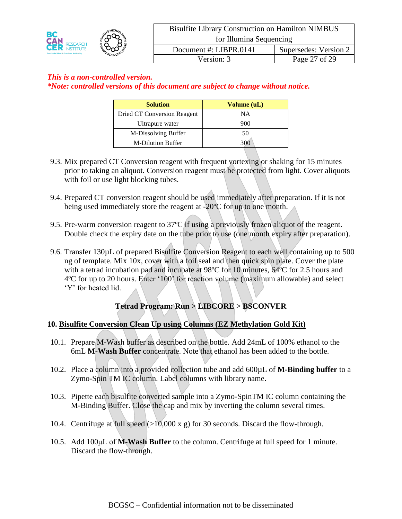

| <b>Solution</b>             | Volume (uL) |  |  |
|-----------------------------|-------------|--|--|
| Dried CT Conversion Reagent | ΝA          |  |  |
| Ultrapure water             | 900         |  |  |
| M-Dissolving Buffer         | 50          |  |  |
| <b>M-Dilution Buffer</b>    |             |  |  |

- 9.3. Mix prepared CT Conversion reagent with frequent vortexing or shaking for 15 minutes prior to taking an aliquot. Conversion reagent must be protected from light. Cover aliquots with foil or use light blocking tubes.
- 9.4. Prepared CT conversion reagent should be used immediately after preparation. If it is not being used immediately store the reagent at -20ºC for up to one month.
- 9.5. Pre-warm conversion reagent to 37ºC if using a previously frozen aliquot of the reagent. Double check the expiry date on the tube prior to use (one month expiry after preparation).
- 9.6. Transfer 130µL of prepared Bisulfite Conversion Reagent to each well containing up to 500 ng of template. Mix 10x, cover with a foil seal and then quick spin plate. Cover the plate with a tetrad incubation pad and incubate at 98ºC for 10 minutes, 64ºC for 2.5 hours and 4ºC for up to 20 hours. Enter '100' for reaction volume (maximum allowable) and select 'Y' for heated lid.

# **Tetrad Program: Run > LIBCORE > BSCONVER**

#### **10. Bisulfite Conversion Clean Up using Columns (EZ Methylation Gold Kit)**

- 10.1. Prepare M-Wash buffer as described on the bottle. Add 24mL of 100% ethanol to the 6mL **M-Wash Buffer** concentrate. Note that ethanol has been added to the bottle.
- 10.2. Place a column into a provided collection tube and add 600µL of **M-Binding buffer** to a Zymo-Spin TM IC column. Label columns with library name.
- 10.3. Pipette each bisulfite converted sample into a Zymo-SpinTM IC column containing the M-Binding Buffer. Close the cap and mix by inverting the column several times.
- 10.4. Centrifuge at full speed  $(>10,000 \text{ x g})$  for 30 seconds. Discard the flow-through.
- 10.5. Add 100μL of **M-Wash Buffer** to the column. Centrifuge at full speed for 1 minute. Discard the flow-through.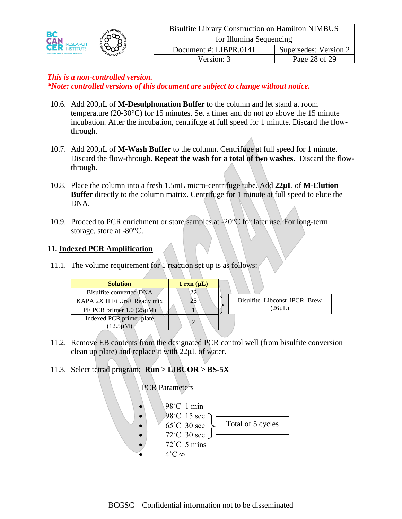- 10.6. Add 200μL of **M-Desulphonation Buffer** to the column and let stand at room temperature (20-30°C) for 15 minutes. Set a timer and do not go above the 15 minute incubation. After the incubation, centrifuge at full speed for 1 minute. Discard the flowthrough.
- 10.7. Add 200μL of **M-Wash Buffer** to the column. Centrifuge at full speed for 1 minute. Discard the flow-through. **Repeat the wash for a total of two washes.** Discard the flowthrough.
- 10.8. Place the column into a fresh 1.5mL micro-centrifuge tube. Add **22μL** of **M-Elution Buffer** directly to the column matrix. Centrifuge for 1 minute at full speed to elute the DNA.
- 10.9. Proceed to PCR enrichment or store samples at  $-20^{\circ}$ C for later use. For long-term storage, store at -80°C.

#### **11. Indexed PCR Amplification**

11.1. The volume requirement for 1 reaction set up is as follows:

| <b>Solution</b>                  | $1 \text{ rxn } (\mu L)$ |                              |
|----------------------------------|--------------------------|------------------------------|
| Bisulfite converted DNA          |                          |                              |
| KAPA 2X HiFi Ura+ Ready mix      |                          | Bisulfite Libconst iPCR Brew |
| PE PCR primer $1.0$ ( $25\mu$ M) |                          | (26µL)                       |
| Indexed PCR primer plate         |                          |                              |
| $(12.5 \mu M)$                   |                          |                              |

11.2. Remove EB contents from the designated PCR control well (from bisulfite conversion clean up plate) and replace it with 22μL of water.

## 11.3. Select tetrad program: **Run > LIBCOR > BS-5X**

## **PCR Parameters**